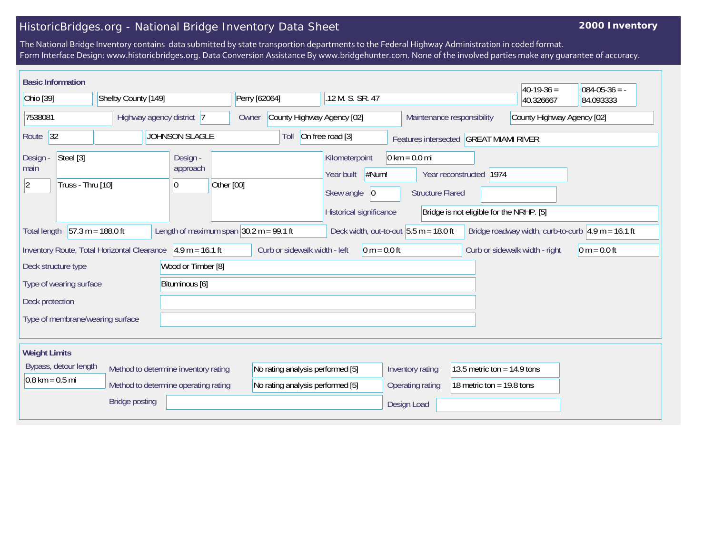## HistoricBridges.org - National Bridge Inventory Data Sheet

## **2000 Inventory**

The National Bridge Inventory contains data submitted by state transportion departments to the Federal Highway Administration in coded format. Form Interface Design: www.historicbridges.org. Data Conversion Assistance By www.bridgehunter.com. None of the involved parties make any guarantee of accuracy.

| <b>Basic Information</b>                                                                |  |                                             |                                      |                                         |       |                                                                                                                                                                                                                           |                                          |                  |                                                                        | $40-19-36=$                    | $084-05-36 = -$ |
|-----------------------------------------------------------------------------------------|--|---------------------------------------------|--------------------------------------|-----------------------------------------|-------|---------------------------------------------------------------------------------------------------------------------------------------------------------------------------------------------------------------------------|------------------------------------------|------------------|------------------------------------------------------------------------|--------------------------------|-----------------|
| Ohio [39]                                                                               |  | Shelby County [149]                         |                                      |                                         |       | Perry [62064]<br>.12 M. S. SR. 47                                                                                                                                                                                         |                                          |                  |                                                                        | 40.326667                      | 84.093333       |
| 7538081                                                                                 |  | Highway agency district 7                   |                                      |                                         | Owner | County Highway Agency [02]<br>Maintenance responsibility                                                                                                                                                                  |                                          |                  |                                                                        | County Highway Agency [02]     |                 |
| Route 32                                                                                |  |                                             | <b>JOHNSON SLAGLE</b>                |                                         |       | On free road [3]<br>Toll<br>Features intersected GREAT MIAMI RIVER                                                                                                                                                        |                                          |                  |                                                                        |                                |                 |
| Steel [3]<br>Design -<br>main<br>Truss - Thru [10]<br>$ 2\rangle$                       |  |                                             | Design -<br>approach<br>10           | Other [00]                              |       | $0 \text{ km} = 0.0 \text{ mi}$<br>Kilometerpoint<br>#Num!<br>Year reconstructed 1974<br>Year built<br>Skew angle<br> 0<br><b>Structure Flared</b><br>Historical significance<br>Bridge is not eligible for the NRHP. [5] |                                          |                  |                                                                        |                                |                 |
| Length of maximum span $30.2$ m = 99.1 ft<br>$57.3 m = 188.0 ft$<br><b>Total length</b> |  |                                             |                                      |                                         |       |                                                                                                                                                                                                                           | Deck width, out-to-out $5.5 m = 18.0 ft$ |                  | Bridge roadway width, curb-to-curb $ 4.9 \text{ m} = 16.1 \text{ ft} $ |                                |                 |
| Deck structure type                                                                     |  | Inventory Route, Total Horizontal Clearance |                                      | $4.9 m = 16.1 ft$<br>Wood or Timber [8] |       | Curb or sidewalk width - left                                                                                                                                                                                             | $0 m = 0.0 ft$                           |                  |                                                                        | Curb or sidewalk width - right | $0 m = 0.0 ft$  |
| Type of wearing surface                                                                 |  | Bituminous [6]                              |                                      |                                         |       |                                                                                                                                                                                                                           |                                          |                  |                                                                        |                                |                 |
| Deck protection                                                                         |  |                                             |                                      |                                         |       |                                                                                                                                                                                                                           |                                          |                  |                                                                        |                                |                 |
|                                                                                         |  | Type of membrane/wearing surface            |                                      |                                         |       |                                                                                                                                                                                                                           |                                          |                  |                                                                        |                                |                 |
|                                                                                         |  |                                             |                                      |                                         |       |                                                                                                                                                                                                                           |                                          |                  |                                                                        |                                |                 |
| <b>Weight Limits</b>                                                                    |  |                                             |                                      |                                         |       |                                                                                                                                                                                                                           |                                          |                  |                                                                        |                                |                 |
| Bypass, detour length                                                                   |  |                                             | Method to determine inventory rating |                                         |       | No rating analysis performed [5]                                                                                                                                                                                          |                                          | Inventory rating | 13.5 metric ton = $14.9$ tons                                          |                                |                 |
| $0.8 \text{ km} = 0.5 \text{ mi}$                                                       |  | Method to determine operating rating        |                                      |                                         |       | No rating analysis performed [5]                                                                                                                                                                                          |                                          | Operating rating | 18 metric ton = $19.8$ tons                                            |                                |                 |
| <b>Bridge posting</b>                                                                   |  |                                             |                                      |                                         |       | Design Load                                                                                                                                                                                                               |                                          |                  |                                                                        |                                |                 |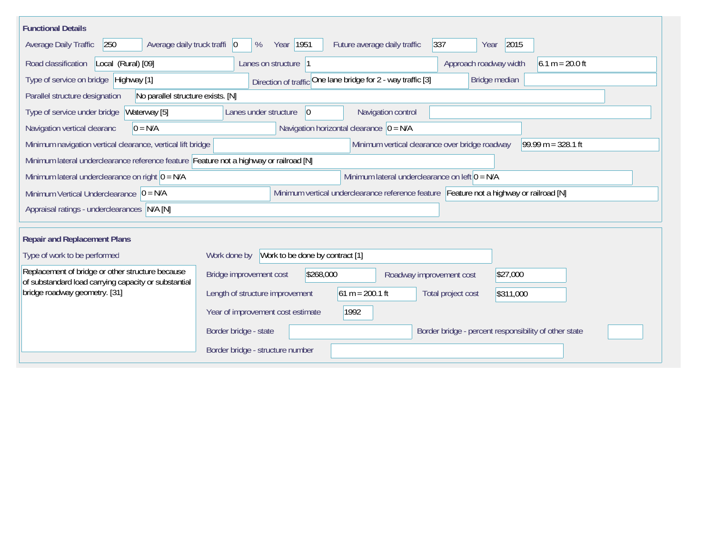| <b>Functional Details</b>                                                                                                                 |                                                                                         |  |  |  |  |  |  |  |  |  |
|-------------------------------------------------------------------------------------------------------------------------------------------|-----------------------------------------------------------------------------------------|--|--|--|--|--|--|--|--|--|
| 2015<br>250<br>Average daily truck traffi   0<br>Year   1951<br>337<br>Average Daily Traffic<br>%<br>Future average daily traffic<br>Year |                                                                                         |  |  |  |  |  |  |  |  |  |
| Road classification<br>Local (Rural) [09]                                                                                                 | Approach roadway width<br>$6.1 m = 20.0 ft$<br>Lanes on structure  1                    |  |  |  |  |  |  |  |  |  |
| Type of service on bridge Highway [1]                                                                                                     | Direction of traffic One lane bridge for 2 - way traffic [3]<br>Bridge median           |  |  |  |  |  |  |  |  |  |
| No parallel structure exists. [N]<br>Parallel structure designation                                                                       |                                                                                         |  |  |  |  |  |  |  |  |  |
| Waterway [5]<br>Type of service under bridge                                                                                              | 0 <br>Navigation control<br>Lanes under structure                                       |  |  |  |  |  |  |  |  |  |
| Navigation vertical clearanc<br>$0 = N/A$                                                                                                 | Navigation horizontal clearance $ 0 = N/A$                                              |  |  |  |  |  |  |  |  |  |
| Minimum vertical clearance over bridge roadway<br>99.99 m = $328.1$ ft<br>Minimum navigation vertical clearance, vertical lift bridge     |                                                                                         |  |  |  |  |  |  |  |  |  |
| Minimum lateral underclearance reference feature Feature not a highway or railroad [N]                                                    |                                                                                         |  |  |  |  |  |  |  |  |  |
| Minimum lateral underclearance on left $0 = N/A$<br>Minimum lateral underclearance on right $ 0 = N/A$                                    |                                                                                         |  |  |  |  |  |  |  |  |  |
| Minimum vertical underclearance reference feature Feature not a highway or railroad [N]<br>Minimum Vertical Underclearance $ 0 = N/A$     |                                                                                         |  |  |  |  |  |  |  |  |  |
| Appraisal ratings - underclearances N/A [N]                                                                                               |                                                                                         |  |  |  |  |  |  |  |  |  |
|                                                                                                                                           |                                                                                         |  |  |  |  |  |  |  |  |  |
| <b>Repair and Replacement Plans</b>                                                                                                       |                                                                                         |  |  |  |  |  |  |  |  |  |
| Type of work to be performed                                                                                                              | Work to be done by contract [1]<br>Work done by                                         |  |  |  |  |  |  |  |  |  |
| Replacement of bridge or other structure because<br>of substandard load carrying capacity or substantial                                  | Bridge improvement cost<br>\$268,000<br>\$27,000<br>Roadway improvement cost            |  |  |  |  |  |  |  |  |  |
| bridge roadway geometry. [31]                                                                                                             | $61 m = 200.1 ft$<br>Length of structure improvement<br>Total project cost<br>\$311,000 |  |  |  |  |  |  |  |  |  |
|                                                                                                                                           | Year of improvement cost estimate<br>1992                                               |  |  |  |  |  |  |  |  |  |
|                                                                                                                                           | Border bridge - state<br>Border bridge - percent responsibility of other state          |  |  |  |  |  |  |  |  |  |
|                                                                                                                                           | Border bridge - structure number                                                        |  |  |  |  |  |  |  |  |  |